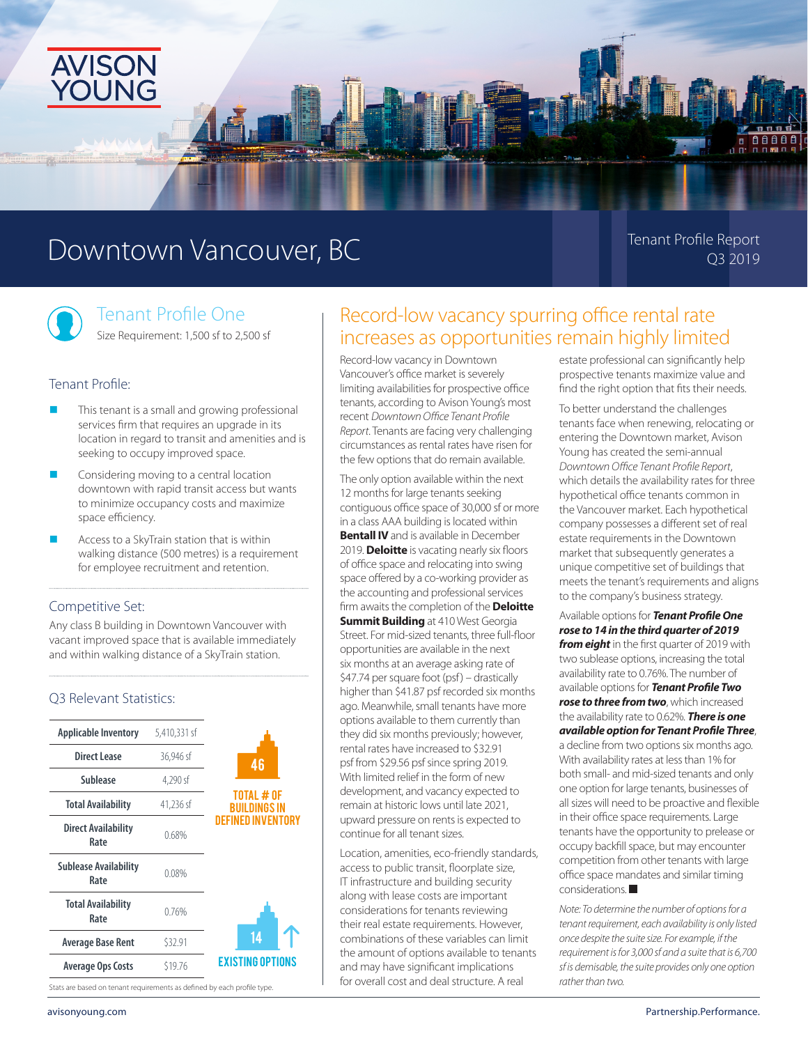

## Downtown Vancouver, BC Tenant Profile Report

Q3 2019

#### Tenant Profile One

Size Requirement: 1,500 sf to 2,500 sf

#### Tenant Profile:

- This tenant is a small and growing professional services firm that requires an upgrade in its location in regard to transit and amenities and is seeking to occupy improved space.
- Considering moving to a central location downtown with rapid transit access but wants to minimize occupancy costs and maximize space efficiency.
- Access to a SkyTrain station that is within walking distance (500 metres) is a requirement for employee recruitment and retention.

#### Competitive Set:

Any class B building in Downtown Vancouver with vacant improved space that is available immediately and within walking distance of a SkyTrain station.

#### Q3 Relevant Statistics:

| <b>Applicable Inventory</b>          | 5,410,331 sf |                            |
|--------------------------------------|--------------|----------------------------|
| <b>Direct Lease</b>                  | 36,946 sf    | 46                         |
| <b>Sublease</b>                      | 4,290 sf     |                            |
| <b>Total Availability</b>            | 41,236 sf    | TOTAI #OF<br>RUII DINGS IN |
| <b>Direct Availability</b><br>Rate   | 0.68%        | DEFINED INVENTORY          |
| <b>Sublease Availability</b><br>Rate | 0.08%        |                            |
| <b>Total Availability</b><br>Rate    | 0.76%        |                            |
| <b>Average Base Rent</b>             | \$32.91      | 14                         |
| <b>Average Ops Costs</b>             | \$19.76      | <b>EXISTING OPTIONS</b>    |
|                                      |              |                            |

Stats are based on tenant requirements as defined by each profile type.

#### Record-low vacancy spurring office rental rate increases as opportunities remain highly limited

Record-low vacancy in Downtown Vancouver's office market is severely limiting availabilities for prospective office tenants, according to Avison Young's most recent *Downtown Office Tenant Profile Report*. Tenants are facing very challenging circumstances as rental rates have risen for the few options that do remain available.

The only option available within the next 12 months for large tenants seeking contiguous office space of 30,000 sf or more in a class AAA building is located within **Bentall IV** and is available in December 2019. **Deloitte** is vacating nearly six floors of office space and relocating into swing space offered by a co-working provider as the accounting and professional services firm awaits the completion of the **Deloitte Summit Building** at 410 West Georgia Street. For mid-sized tenants, three full-floor opportunities are available in the next six months at an average asking rate of \$47.74 per square foot (psf) – drastically higher than \$41.87 psf recorded six months ago. Meanwhile, small tenants have more options available to them currently than they did six months previously; however, rental rates have increased to \$32.91 psf from \$29.56 psf since spring 2019. With limited relief in the form of new development, and vacancy expected to remain at historic lows until late 2021, upward pressure on rents is expected to continue for all tenant sizes.

Location, amenities, eco-friendly standards, access to public transit, floorplate size, IT infrastructure and building security along with lease costs are important considerations for tenants reviewing their real estate requirements. However, combinations of these variables can limit the amount of options available to tenants and may have significant implications for overall cost and deal structure. A real

estate professional can significantly help prospective tenants maximize value and find the right option that fits their needs.

To better understand the challenges tenants face when renewing, relocating or entering the Downtown market, Avison Young has created the semi-annual *Downtown Office Tenant Profile Report*, which details the availability rates for three hypothetical office tenants common in the Vancouver market. Each hypothetical company possesses a different set of real estate requirements in the Downtown market that subsequently generates a unique competitive set of buildings that meets the tenant's requirements and aligns to the company's business strategy.

Available options for *Tenant Profile One rose to 14 in the third quarter of 2019 from eight* in the first quarter of 2019 with two sublease options, increasing the total availability rate to 0.76%. The number of available options for *Tenant Profile Two rose to three from two*, which increased the availability rate to 0.62%. *There is one available option for Tenant Profile Three*, a decline from two options six months ago. With availability rates at less than 1% for both small- and mid-sized tenants and only one option for large tenants, businesses of all sizes will need to be proactive and flexible in their office space requirements. Large tenants have the opportunity to prelease or occupy backfill space, but may encounter competition from other tenants with large office space mandates and similar timing considerations.

*Note: To determine the number of options for a tenant requirement, each availability is only listed once despite the suite size. For example, if the requirement is for 3,000 sf and a suite that is 6,700 sf is demisable, the suite provides only one option rather than two.*